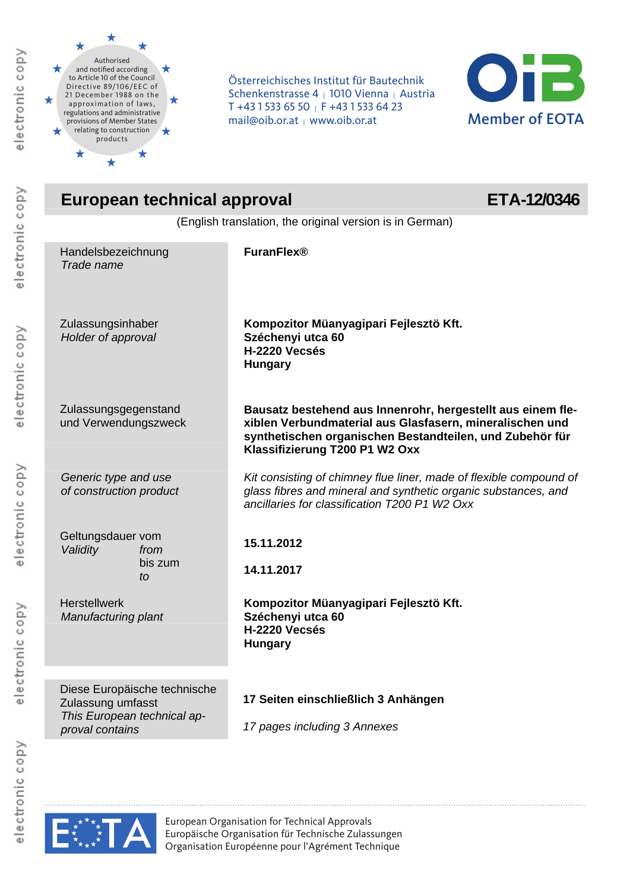

electronic copy

electronic copy

electronic copy

electronic copy

Österreichisches Institut für Bautechnik<br>Schenkenstrasse 4 <sub>|</sub> 1010 Vienna <sub>|</sub> Austria<br>The 11 Hall Fall Chan | Chan | Austria T +43 1 533 65 50 | F +43 1 533 64 23 mail@oib.or.at | www.oib.or.at



| European technical approval<br>ETA-12/0346                                                          |                                                                                                                                                                                                                       |  |  |  |
|-----------------------------------------------------------------------------------------------------|-----------------------------------------------------------------------------------------------------------------------------------------------------------------------------------------------------------------------|--|--|--|
| (English translation, the original version is in German)                                            |                                                                                                                                                                                                                       |  |  |  |
| Handelsbezeichnung<br>Trade name                                                                    | <b>FuranFlex®</b>                                                                                                                                                                                                     |  |  |  |
| Zulassungsinhaber<br>Holder of approval                                                             | Kompozitor Müanyagipari Fejlesztö Kft.<br>Széchenyi utca 60<br>H-2220 Vecsés<br><b>Hungary</b>                                                                                                                        |  |  |  |
| Zulassungsgegenstand<br>und Verwendungszweck                                                        | Bausatz bestehend aus Innenrohr, hergestellt aus einem fle-<br>xiblen Verbundmaterial aus Glasfasern, mineralischen und<br>synthetischen organischen Bestandteilen, und Zubehör für<br>Klassifizierung T200 P1 W2 Oxx |  |  |  |
| Generic type and use<br>of construction product                                                     | Kit consisting of chimney flue liner, made of flexible compound of<br>glass fibres and mineral and synthetic organic substances, and<br>ancillaries for classification T200 P1 W2 Oxx                                 |  |  |  |
| Geltungsdauer vom<br>Validity<br>from                                                               | 15.11.2012                                                                                                                                                                                                            |  |  |  |
| bis zum<br>to                                                                                       | 14.11.2017                                                                                                                                                                                                            |  |  |  |
| <b>Herstellwerk</b><br>Manufacturing plant                                                          | Kompozitor Müanyagipari Fejlesztö Kft.<br>Széchenyi utca 60<br>H-2220 Vecsés<br><b>Hungary</b>                                                                                                                        |  |  |  |
| Diese Europäische technische<br>Zulassung umfasst<br>This European technical ap-<br>proval contains | 17 Seiten einschließlich 3 Anhängen<br>17 pages including 3 Annexes                                                                                                                                                   |  |  |  |



European Organisation for Technical Approvals Europäische Organisation für Technische Zulassungen Organisation Européenne pour l'Agrément Technique

electronic copy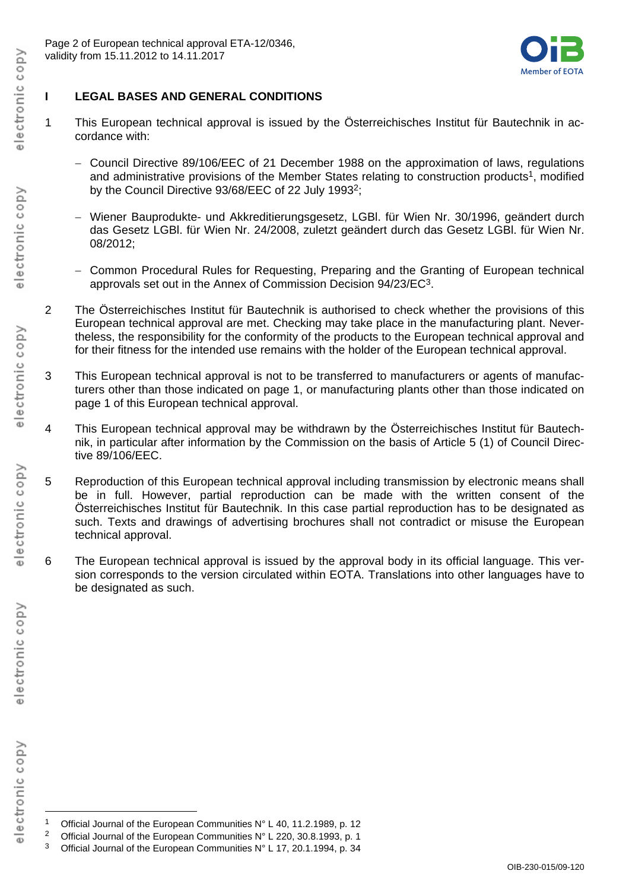

## **I LEGAL BASES AND GENERAL CONDITIONS**

- 1 This European technical approval is issued by the Österreichisches Institut für Bautechnik in accordance with:
	- Council Directive 89/106/EEC of 21 December 1988 on the approximation of laws, regulations and administrative provisions of the Member States relating to construction products<sup>1</sup>, modified by the Council Directive 93/68/EEC of 22 July 19932;
	- Wiener Bauprodukte- und Akkreditierungsgesetz, LGBl. für Wien Nr. 30/1996, geändert durch das Gesetz LGBl. für Wien Nr. 24/2008, zuletzt geändert durch das Gesetz LGBl. für Wien Nr. 08/2012;
	- Common Procedural Rules for Requesting, Preparing and the Granting of European technical approvals set out in the Annex of Commission Decision 94/23/EC3.
- 2 The Österreichisches Institut für Bautechnik is authorised to check whether the provisions of this European technical approval are met. Checking may take place in the manufacturing plant. Nevertheless, the responsibility for the conformity of the products to the European technical approval and for their fitness for the intended use remains with the holder of the European technical approval.
- 3 This European technical approval is not to be transferred to manufacturers or agents of manufacturers other than those indicated on page 1, or manufacturing plants other than those indicated on page 1 of this European technical approval.
- 4 This European technical approval may be withdrawn by the Österreichisches Institut für Bautechnik, in particular after information by the Commission on the basis of Article 5 (1) of Council Directive 89/106/EEC.
- 5 Reproduction of this European technical approval including transmission by electronic means shall be in full. However, partial reproduction can be made with the written consent of the Österreichisches Institut für Bautechnik. In this case partial reproduction has to be designated as such. Texts and drawings of advertising brochures shall not contradict or misuse the European technical approval.
- 6 The European technical approval is issued by the approval body in its official language. This version corresponds to the version circulated within EOTA. Translations into other languages have to be designated as such.

 $\overline{\Phi}$ 

electronic copy

 $\overline{a}$ Official Journal of the European Communities N° L 40, 11.2.1989, p. 12

<sup>&</sup>lt;sup>2</sup> Official Journal of the European Communities N° L 220, 30.8.1993, p. 1

<sup>&</sup>lt;sup>3</sup> Official Journal of the European Communities N° L 17, 20.1.1994, p. 34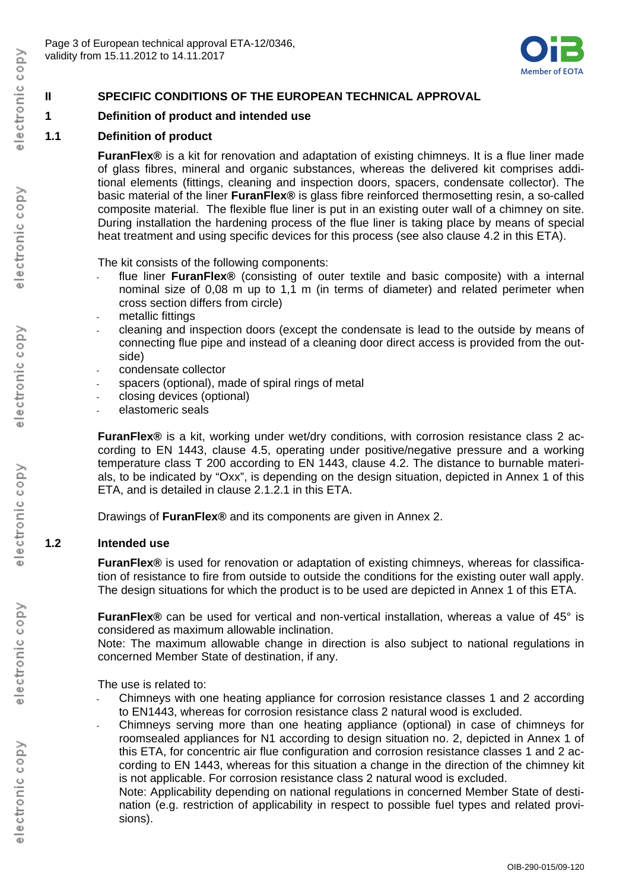

## **II SPECIFIC CONDITIONS OF THE EUROPEAN TECHNICAL APPROVAL**

#### **1 Definition of product and intended use**

### **1.1 Definition of product**

**FuranFlex®** is a kit for renovation and adaptation of existing chimneys. It is a flue liner made of glass fibres, mineral and organic substances, whereas the delivered kit comprises additional elements (fittings, cleaning and inspection doors, spacers, condensate collector). The basic material of the liner **FuranFlex®** is glass fibre reinforced thermosetting resin, a so-called composite material. The flexible flue liner is put in an existing outer wall of a chimney on site. During installation the hardening process of the flue liner is taking place by means of special heat treatment and using specific devices for this process (see also clause 4.2 in this ETA).

The kit consists of the following components:

- flue liner **FuranFlex®** (consisting of outer textile and basic composite) with a internal nominal size of 0,08 m up to 1,1 m (in terms of diameter) and related perimeter when cross section differs from circle)
- metallic fittings
- cleaning and inspection doors (except the condensate is lead to the outside by means of connecting flue pipe and instead of a cleaning door direct access is provided from the outside)
- condensate collector
- spacers (optional), made of spiral rings of metal
- closing devices (optional)
- elastomeric seals

**FuranFlex®** is a kit, working under wet/dry conditions, with corrosion resistance class 2 according to EN 1443, clause 4.5, operating under positive/negative pressure and a working temperature class T 200 according to EN 1443, clause 4.2. The distance to burnable materials, to be indicated by "Oxx", is depending on the design situation, depicted in Annex 1 of this ETA, and is detailed in clause 2.1.2.1 in this ETA.

Drawings of **FuranFlex®** and its components are given in Annex 2.

#### **1.2 Intended use**

**FuranFlex®** is used for renovation or adaptation of existing chimneys, whereas for classification of resistance to fire from outside to outside the conditions for the existing outer wall apply. The design situations for which the product is to be used are depicted in Annex 1 of this ETA.

**FuranFlex®** can be used for vertical and non-vertical installation, whereas a value of 45° is considered as maximum allowable inclination.

Note: The maximum allowable change in direction is also subject to national regulations in concerned Member State of destination, if any.

The use is related to:

- Chimneys with one heating appliance for corrosion resistance classes 1 and 2 according to EN1443, whereas for corrosion resistance class 2 natural wood is excluded.
- Chimneys serving more than one heating appliance (optional) in case of chimneys for roomsealed appliances for N1 according to design situation no. 2, depicted in Annex 1 of this ETA, for concentric air flue configuration and corrosion resistance classes 1 and 2 according to EN 1443, whereas for this situation a change in the direction of the chimney kit is not applicable. For corrosion resistance class 2 natural wood is excluded.

Note: Applicability depending on national regulations in concerned Member State of destination (e.g. restriction of applicability in respect to possible fuel types and related provisions).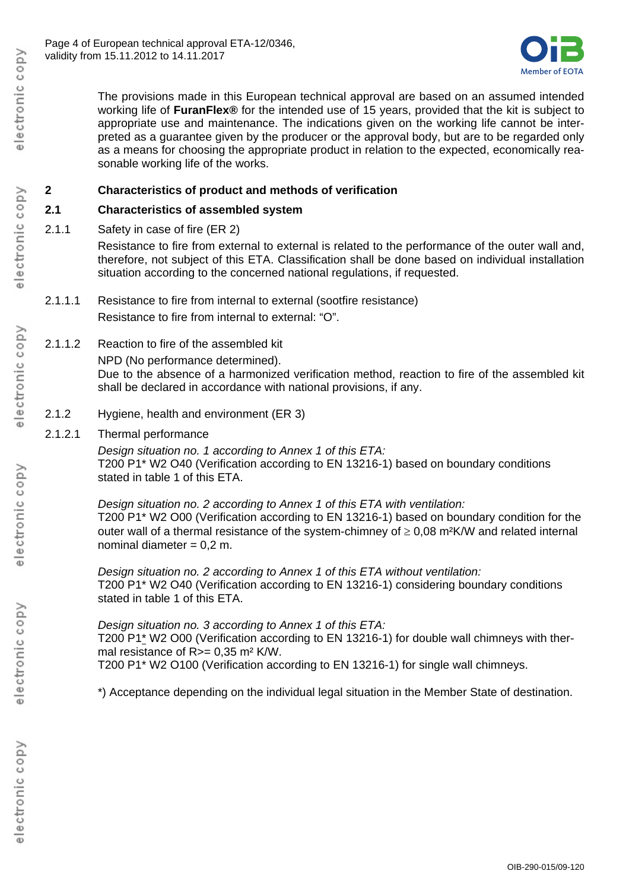

The provisions made in this European technical approval are based on an assumed intended working life of **FuranFlex®** for the intended use of 15 years, provided that the kit is subject to appropriate use and maintenance. The indications given on the working life cannot be interpreted as a guarantee given by the producer or the approval body, but are to be regarded only as a means for choosing the appropriate product in relation to the expected, economically reasonable working life of the works.

### **2 Characteristics of product and methods of verification**

### **2.1 Characteristics of assembled system**

2.1.1 Safety in case of fire (ER 2)

Resistance to fire from external to external is related to the performance of the outer wall and, therefore, not subject of this ETA. Classification shall be done based on individual installation situation according to the concerned national regulations, if requested.

- 2.1.1.1 Resistance to fire from internal to external (sootfire resistance) Resistance to fire from internal to external: "O".
- 2.1.1.2 Reaction to fire of the assembled kit

NPD (No performance determined).

Due to the absence of a harmonized verification method, reaction to fire of the assembled kit shall be declared in accordance with national provisions, if any.

- 2.1.2 Hygiene, health and environment (ER 3)
- 2.1.2.1 Thermal performance

*Design situation no. 1 according to Annex 1 of this ETA:*  T200 P1\* W2 O40 (Verification according to EN 13216-1) based on boundary conditions stated in table 1 of this ETA.

*Design situation no. 2 according to Annex 1 of this ETA with ventilation:*  T200 P1\* W2 O00 (Verification according to EN 13216-1) based on boundary condition for the outer wall of a thermal resistance of the system-chimney of  $\geq 0.08$  m<sup>2</sup>K/W and related internal nominal diameter  $= 0.2$  m.

*Design situation no. 2 according to Annex 1 of this ETA without ventilation:*  T200 P1\* W2 O40 (Verification according to EN 13216-1) considering boundary conditions stated in table 1 of this ETA.

*Design situation no. 3 according to Annex 1 of this ETA:*  T200 P1\* W2 O00 (Verification according to EN 13216-1) for double wall chimneys with thermal resistance of R>= 0,35 m<sup>2</sup> K/W. T200 P1\* W2 O100 (Verification according to EN 13216-1) for single wall chimneys.

\*) Acceptance depending on the individual legal situation in the Member State of destination.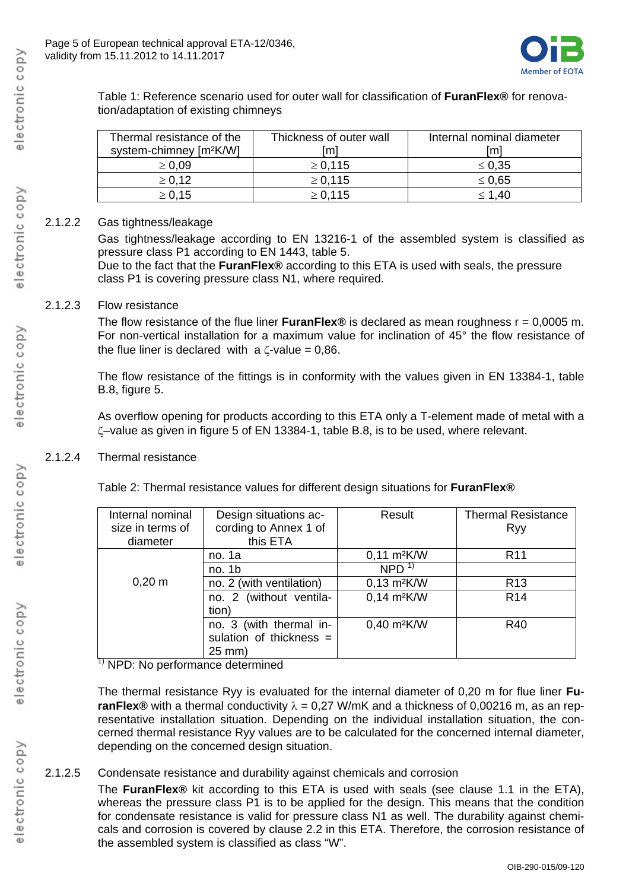

Table 1: Reference scenario used for outer wall for classification of **FuranFlex®** for renovation/adaptation of existing chimneys

| Thermal resistance of the<br>system-chimney [m <sup>2</sup> K/W] | Thickness of outer wall<br>/m | Internal nominal diameter<br>[m] |
|------------------------------------------------------------------|-------------------------------|----------------------------------|
| $\geq 0.09$                                                      | $\ge 0.115$                   | $\leq 0.35$                      |
| $\ge 0.12$                                                       | $\ge 0.115$                   | $\leq 0.65$                      |
| $\ge 0.15$                                                       | $\ge 0.115$                   | $\leq 1.40$                      |

#### 2.1.2.2 Gas tightness/leakage

Gas tightness/leakage according to EN 13216-1 of the assembled system is classified as pressure class P1 according to EN 1443, table 5.

Due to the fact that the **FuranFlex®** according to this ETA is used with seals, the pressure class P1 is covering pressure class N1, where required.

#### 2.1.2.3 Flow resistance

The flow resistance of the flue liner **FuranFlex®** is declared as mean roughness r = 0,0005 m. For non-vertical installation for a maximum value for inclination of 45° the flow resistance of the flue liner is declared with a  $\zeta$ -value = 0,86.

The flow resistance of the fittings is in conformity with the values given in EN 13384-1, table B.8, figure 5.

As overflow opening for products according to this ETA only a T-element made of metal with a –value as given in figure 5 of EN 13384-1, table B.8, is to be used, where relevant.

### 2.1.2.4 Thermal resistance

Table 2: Thermal resistance values for different design situations for **FuranFlex®** 

| Internal nominal<br>size in terms of<br>diameter | Design situations ac-<br>cording to Annex 1 of<br>this ETA     | Result                    | <b>Thermal Resistance</b><br>Ryy |
|--------------------------------------------------|----------------------------------------------------------------|---------------------------|----------------------------------|
|                                                  | no. 1a                                                         | $0,11 \text{ m}^2$ K/W    | R <sub>11</sub>                  |
|                                                  | no. 1b                                                         | NPD <sup>1</sup>          |                                  |
| $0,20 \; m$                                      | no. 2 (with ventilation)                                       | $0,13$ m <sup>2</sup> K/W | R <sub>13</sub>                  |
|                                                  | no. 2 (without ventila-<br>tion)                               | $0,14$ m <sup>2</sup> K/W | R <sub>14</sub>                  |
| $\overline{ }$                                   | no. 3 (with thermal in-<br>sulation of thickness =<br>$25$ mm) | 0,40 m <sup>2</sup> K/W   | R40                              |

 $1)$  NPD: No performance determined

The thermal resistance Ryy is evaluated for the internal diameter of 0,20 m for flue liner **FuranFlex®** with a thermal conductivity  $\lambda = 0.27$  W/mK and a thickness of 0,00216 m, as an representative installation situation. Depending on the individual installation situation, the concerned thermal resistance Ryy values are to be calculated for the concerned internal diameter, depending on the concerned design situation.

### 2.1.2.5 Condensate resistance and durability against chemicals and corrosion

The **FuranFlex®** kit according to this ETA is used with seals (see clause 1.1 in the ETA), whereas the pressure class P1 is to be applied for the design. This means that the condition for condensate resistance is valid for pressure class N1 as well. The durability against chemicals and corrosion is covered by clause 2.2 in this ETA. Therefore, the corrosion resistance of the assembled system is classified as class "W".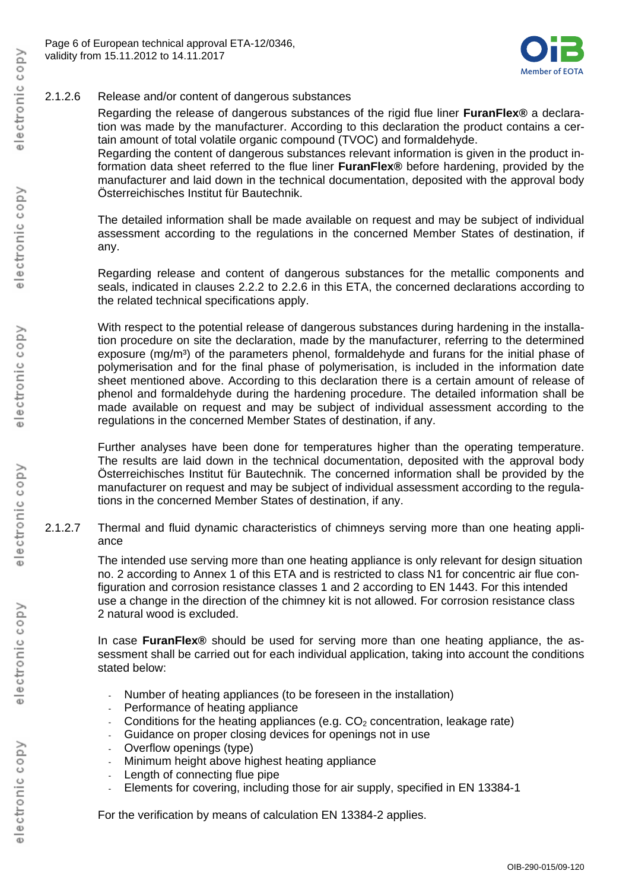

### 2.1.2.6 Release and/or content of dangerous substances

Regarding the release of dangerous substances of the rigid flue liner **FuranFlex®** a declaration was made by the manufacturer. According to this declaration the product contains a certain amount of total volatile organic compound (TVOC) and formaldehyde.

Regarding the content of dangerous substances relevant information is given in the product information data sheet referred to the flue liner **FuranFlex®** before hardening, provided by the manufacturer and laid down in the technical documentation, deposited with the approval body Österreichisches Institut für Bautechnik.

The detailed information shall be made available on request and may be subject of individual assessment according to the regulations in the concerned Member States of destination, if any.

Regarding release and content of dangerous substances for the metallic components and seals, indicated in clauses 2.2.2 to 2.2.6 in this ETA, the concerned declarations according to the related technical specifications apply.

With respect to the potential release of dangerous substances during hardening in the installation procedure on site the declaration, made by the manufacturer, referring to the determined exposure (mg/m<sup>3</sup>) of the parameters phenol, formaldehyde and furans for the initial phase of polymerisation and for the final phase of polymerisation, is included in the information date sheet mentioned above. According to this declaration there is a certain amount of release of phenol and formaldehyde during the hardening procedure. The detailed information shall be made available on request and may be subject of individual assessment according to the regulations in the concerned Member States of destination, if any.

Further analyses have been done for temperatures higher than the operating temperature. The results are laid down in the technical documentation, deposited with the approval body Österreichisches Institut für Bautechnik. The concerned information shall be provided by the manufacturer on request and may be subject of individual assessment according to the regulations in the concerned Member States of destination, if any.

2.1.2.7 Thermal and fluid dynamic characteristics of chimneys serving more than one heating appliance

> The intended use serving more than one heating appliance is only relevant for design situation no. 2 according to Annex 1 of this ETA and is restricted to class N1 for concentric air flue configuration and corrosion resistance classes 1 and 2 according to EN 1443. For this intended use a change in the direction of the chimney kit is not allowed. For corrosion resistance class 2 natural wood is excluded.

> In case **FuranFlex®** should be used for serving more than one heating appliance, the assessment shall be carried out for each individual application, taking into account the conditions stated below:

- Number of heating appliances (to be foreseen in the installation)
- Performance of heating appliance
- Conditions for the heating appliances (e.g.  $CO<sub>2</sub>$  concentration, leakage rate)
- Guidance on proper closing devices for openings not in use
- Overflow openings (type)
- Minimum height above highest heating appliance
- Length of connecting flue pipe
- Elements for covering, including those for air supply, specified in EN 13384-1

For the verification by means of calculation EN 13384-2 applies.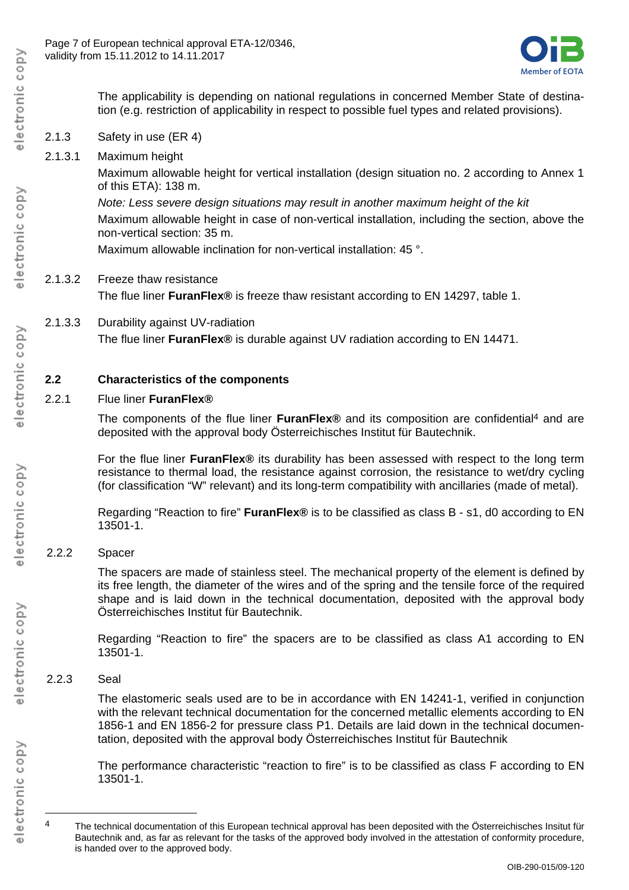

The applicability is depending on national regulations in concerned Member State of destination (e.g. restriction of applicability in respect to possible fuel types and related provisions).

- 2.1.3 Safety in use (ER 4)
- 2.1.3.1 Maximum height

Maximum allowable height for vertical installation (design situation no. 2 according to Annex 1 of this ETA): 138 m.

*Note: Less severe design situations may result in another maximum height of the kit* 

Maximum allowable height in case of non-vertical installation, including the section, above the non-vertical section: 35 m.

Maximum allowable inclination for non-vertical installation: 45 °.

- 2.1.3.2 Freeze thaw resistance The flue liner **FuranFlex®** is freeze thaw resistant according to EN 14297, table 1.
- 2.1.3.3 Durability against UV-radiation The flue liner **FuranFlex®** is durable against UV radiation according to EN 14471.

### **2.2 Characteristics of the components**

2.2.1 Flue liner **FuranFlex®**

The components of the flue liner **FuranFlex®** and its composition are confidential4 and are deposited with the approval body Österreichisches Institut für Bautechnik.

For the flue liner **FuranFlex®** its durability has been assessed with respect to the long term resistance to thermal load, the resistance against corrosion, the resistance to wet/dry cycling (for classification "W" relevant) and its long-term compatibility with ancillaries (made of metal).

Regarding "Reaction to fire" **FuranFlex®** is to be classified as class B - s1, d0 according to EN 13501-1.

2.2.2 Spacer

The spacers are made of stainless steel. The mechanical property of the element is defined by its free length, the diameter of the wires and of the spring and the tensile force of the required shape and is laid down in the technical documentation, deposited with the approval body Österreichisches Institut für Bautechnik.

Regarding "Reaction to fire" the spacers are to be classified as class A1 according to EN 13501-1.

2.2.3 Seal

The elastomeric seals used are to be in accordance with EN 14241-1, verified in conjunction with the relevant technical documentation for the concerned metallic elements according to EN 1856-1 and EN 1856-2 for pressure class P1. Details are laid down in the technical documentation, deposited with the approval body Österreichisches Institut für Bautechnik

The performance characteristic "reaction to fire" is to be classified as class F according to EN 13501-1.

 $\overline{a}$ 

<sup>&</sup>lt;sup>4</sup> The technical documentation of this European technical approval has been deposited with the Österreichisches Insitut für Bautechnik and, as far as relevant for the tasks of the approved body involved in the attestation of conformity procedure, is handed over to the approved body.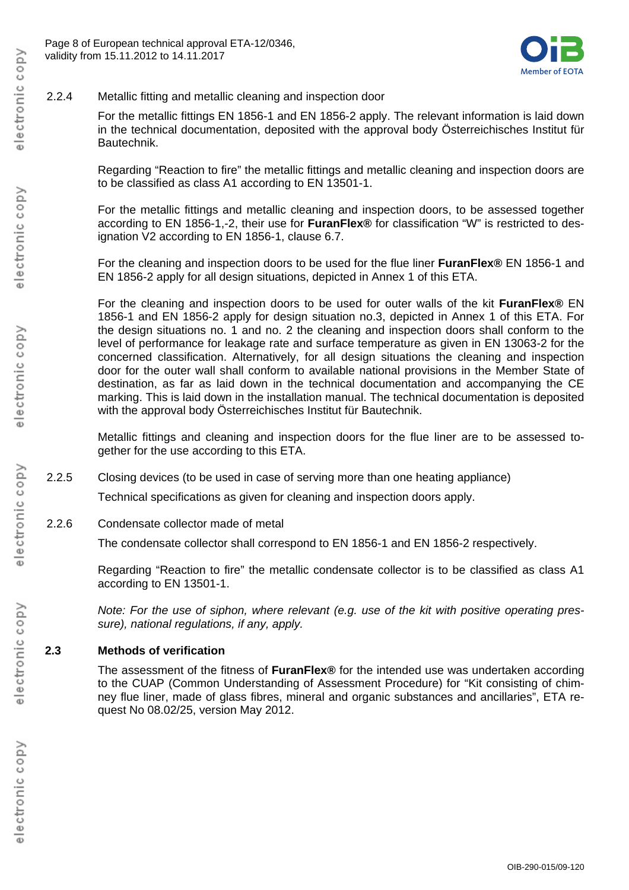

### 2.2.4 Metallic fitting and metallic cleaning and inspection door

For the metallic fittings EN 1856-1 and EN 1856-2 apply. The relevant information is laid down in the technical documentation, deposited with the approval body Österreichisches Institut für Bautechnik.

Regarding "Reaction to fire" the metallic fittings and metallic cleaning and inspection doors are to be classified as class A1 according to EN 13501-1.

For the metallic fittings and metallic cleaning and inspection doors, to be assessed together according to EN 1856-1,-2, their use for **FuranFlex®** for classification "W" is restricted to designation V2 according to EN 1856-1, clause 6.7.

For the cleaning and inspection doors to be used for the flue liner **FuranFlex®** EN 1856-1 and EN 1856-2 apply for all design situations, depicted in Annex 1 of this ETA.

For the cleaning and inspection doors to be used for outer walls of the kit **FuranFlex®** EN 1856-1 and EN 1856-2 apply for design situation no.3, depicted in Annex 1 of this ETA. For the design situations no. 1 and no. 2 the cleaning and inspection doors shall conform to the level of performance for leakage rate and surface temperature as given in EN 13063-2 for the concerned classification. Alternatively, for all design situations the cleaning and inspection door for the outer wall shall conform to available national provisions in the Member State of destination, as far as laid down in the technical documentation and accompanying the CE marking. This is laid down in the installation manual. The technical documentation is deposited with the approval body Österreichisches Institut für Bautechnik.

Metallic fittings and cleaning and inspection doors for the flue liner are to be assessed together for the use according to this ETA.

2.2.5 Closing devices (to be used in case of serving more than one heating appliance)

Technical specifications as given for cleaning and inspection doors apply.

2.2.6 Condensate collector made of metal

The condensate collector shall correspond to EN 1856-1 and EN 1856-2 respectively.

Regarding "Reaction to fire" the metallic condensate collector is to be classified as class A1 according to EN 13501-1.

*Note: For the use of siphon, where relevant (e.g. use of the kit with positive operating pressure), national regulations, if any, apply.* 

### **2.3 Methods of verification**

The assessment of the fitness of **FuranFlex®** for the intended use was undertaken according to the CUAP (Common Understanding of Assessment Procedure) for "Kit consisting of chimney flue liner, made of glass fibres, mineral and organic substances and ancillaries", ETA request No 08.02/25, version May 2012.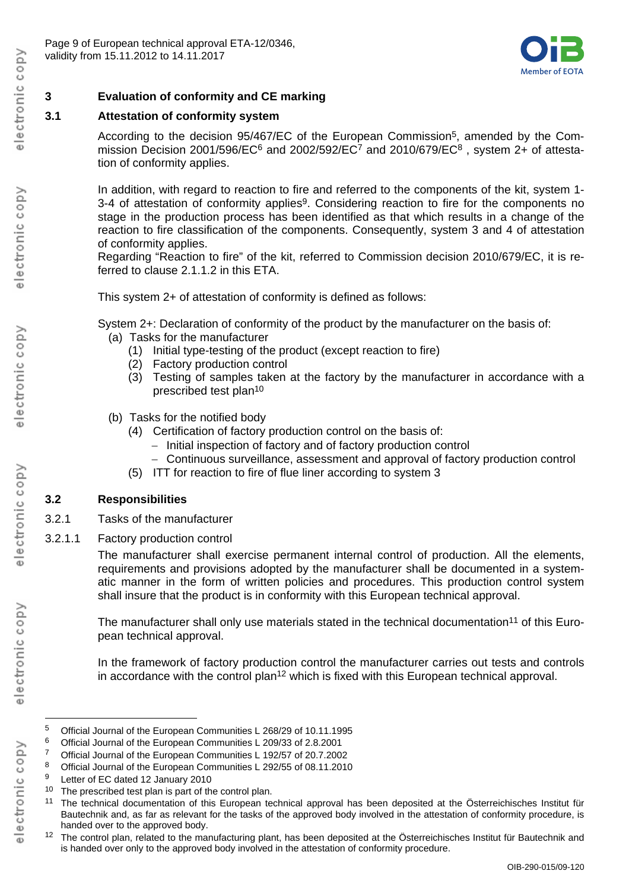

## **3 Evaluation of conformity and CE marking**

## **3.1 Attestation of conformity system**

According to the decision 95/467/EC of the European Commission5, amended by the Commission Decision 2001/596/EC<sup>6</sup> and 2002/592/EC<sup>7</sup> and 2010/679/EC<sup>8</sup>, system 2+ of attestation of conformity applies.

In addition, with regard to reaction to fire and referred to the components of the kit, system 1-3-4 of attestation of conformity applies<sup>9</sup>. Considering reaction to fire for the components no stage in the production process has been identified as that which results in a change of the reaction to fire classification of the components. Consequently, system 3 and 4 of attestation of conformity applies.

Regarding "Reaction to fire" of the kit, referred to Commission decision 2010/679/EC, it is referred to clause 2.1.1.2 in this ETA.

This system 2+ of attestation of conformity is defined as follows:

System 2+: Declaration of conformity of the product by the manufacturer on the basis of:

- (a) Tasks for the manufacturer
	- (1) Initial type-testing of the product (except reaction to fire)
	- (2) Factory production control
	- (3) Testing of samples taken at the factory by the manufacturer in accordance with a prescribed test plan10
- (b) Tasks for the notified body
	- (4) Certification of factory production control on the basis of:
		- Initial inspection of factory and of factory production control
		- Continuous surveillance, assessment and approval of factory production control
	- (5) ITT for reaction to fire of flue liner according to system 3

## **3.2 Responsibilities**

- 3.2.1 Tasks of the manufacturer
- 3.2.1.1 Factory production control

The manufacturer shall exercise permanent internal control of production. All the elements, requirements and provisions adopted by the manufacturer shall be documented in a systematic manner in the form of written policies and procedures. This production control system shall insure that the product is in conformity with this European technical approval.

The manufacturer shall only use materials stated in the technical documentation<sup>11</sup> of this European technical approval.

In the framework of factory production control the manufacturer carries out tests and controls in accordance with the control plan12 which is fixed with this European technical approval.

ectronic copy

 $\overline{\Phi}$ 

 $\overline{a}$ 

<sup>5</sup> Official Journal of the European Communities L 268/29 of 10.11.1995

<sup>6</sup> Official Journal of the European Communities L 209/33 of 2.8.2001

<sup>7</sup> Official Journal of the European Communities L 192/57 of 20.7.2002

<sup>8</sup> Official Journal of the European Communities L 292/55 of 08.11.2010

Letter of EC dated 12 January 2010

<sup>&</sup>lt;sup>10</sup> The prescribed test plan is part of the control plan.

<sup>&</sup>lt;sup>11</sup> The technical documentation of this European technical approval has been deposited at the Österreichisches Institut für Bautechnik and, as far as relevant for the tasks of the approved body involved in the attestation of conformity procedure, is handed over to the approved body.

<sup>12</sup> The control plan, related to the manufacturing plant, has been deposited at the Österreichisches Institut für Bautechnik and is handed over only to the approved body involved in the attestation of conformity procedure.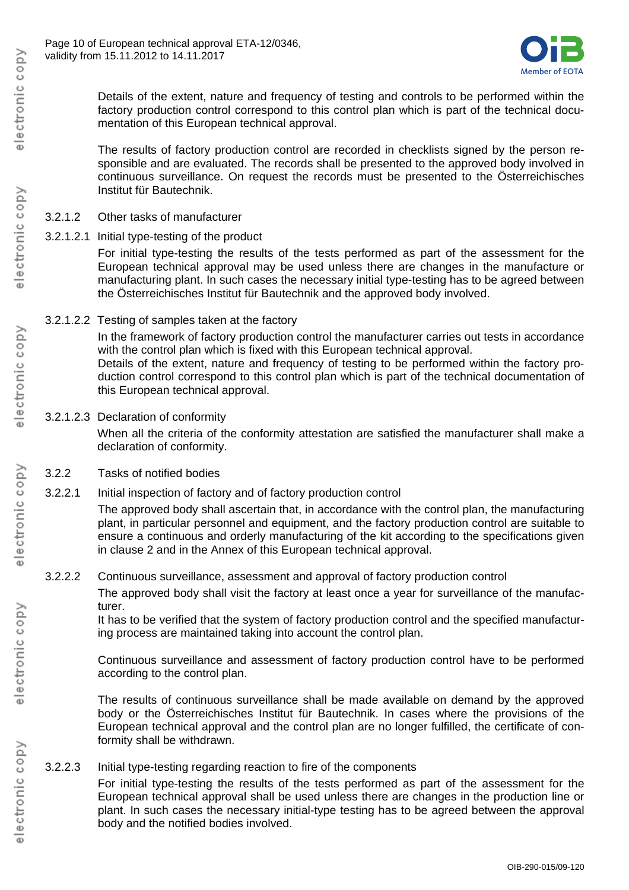

Details of the extent, nature and frequency of testing and controls to be performed within the factory production control correspond to this control plan which is part of the technical documentation of this European technical approval.

The results of factory production control are recorded in checklists signed by the person responsible and are evaluated. The records shall be presented to the approved body involved in continuous surveillance. On request the records must be presented to the Österreichisches Institut für Bautechnik.

#### 3.2.1.2 Other tasks of manufacturer

3.2.1.2.1 Initial type-testing of the product

For initial type-testing the results of the tests performed as part of the assessment for the European technical approval may be used unless there are changes in the manufacture or manufacturing plant. In such cases the necessary initial type-testing has to be agreed between the Österreichisches Institut für Bautechnik and the approved body involved.

3.2.1.2.2 Testing of samples taken at the factory

In the framework of factory production control the manufacturer carries out tests in accordance with the control plan which is fixed with this European technical approval.

Details of the extent, nature and frequency of testing to be performed within the factory production control correspond to this control plan which is part of the technical documentation of this European technical approval.

3.2.1.2.3 Declaration of conformity

When all the criteria of the conformity attestation are satisfied the manufacturer shall make a declaration of conformity.

- 3.2.2 Tasks of notified bodies
- 3.2.2.1 Initial inspection of factory and of factory production control

The approved body shall ascertain that, in accordance with the control plan, the manufacturing plant, in particular personnel and equipment, and the factory production control are suitable to ensure a continuous and orderly manufacturing of the kit according to the specifications given in clause 2 and in the Annex of this European technical approval.

3.2.2.2 Continuous surveillance, assessment and approval of factory production control

The approved body shall visit the factory at least once a year for surveillance of the manufacturer.

It has to be verified that the system of factory production control and the specified manufacturing process are maintained taking into account the control plan.

Continuous surveillance and assessment of factory production control have to be performed according to the control plan.

The results of continuous surveillance shall be made available on demand by the approved body or the Österreichisches Institut für Bautechnik. In cases where the provisions of the European technical approval and the control plan are no longer fulfilled, the certificate of conformity shall be withdrawn.

3.2.2.3 Initial type-testing regarding reaction to fire of the components

For initial type-testing the results of the tests performed as part of the assessment for the European technical approval shall be used unless there are changes in the production line or plant. In such cases the necessary initial-type testing has to be agreed between the approval body and the notified bodies involved.

electronic copy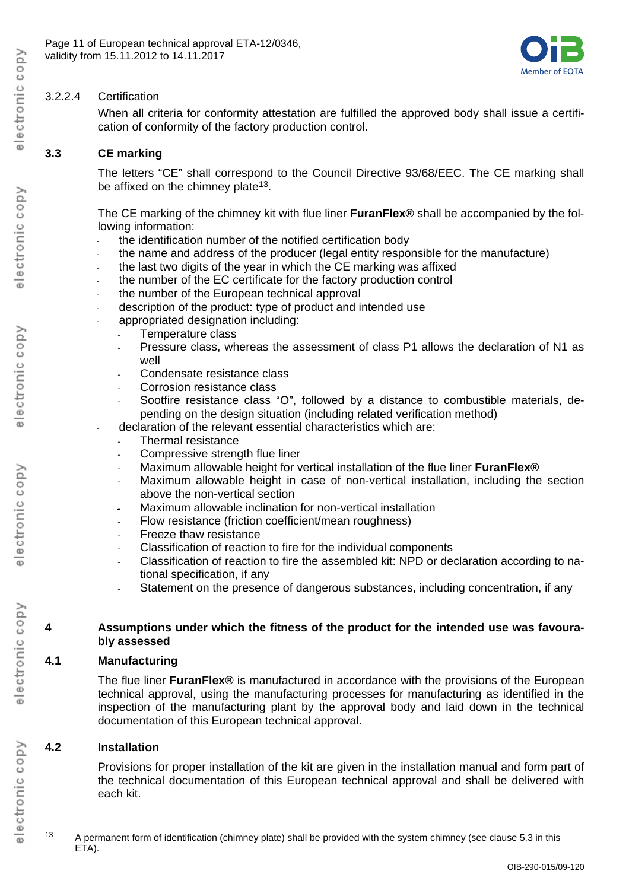

## 3.2.2.4 Certification

When all criteria for conformity attestation are fulfilled the approved body shall issue a certification of conformity of the factory production control.

# **3.3 CE marking**

The letters "CE" shall correspond to the Council Directive 93/68/EEC. The CE marking shall be affixed on the chimney plate<sup>13</sup>.

The CE marking of the chimney kit with flue liner **FuranFlex®** shall be accompanied by the following information:

- the identification number of the notified certification body
- the name and address of the producer (legal entity responsible for the manufacture)
- the last two digits of the year in which the CE marking was affixed
- the number of the EC certificate for the factory production control
- the number of the European technical approval
- description of the product: type of product and intended use
- appropriated designation including:
	- Temperature class
	- Pressure class, whereas the assessment of class P1 allows the declaration of N1 as well
	- Condensate resistance class
	- Corrosion resistance class
	- Sootfire resistance class "O", followed by a distance to combustible materials, depending on the design situation (including related verification method)
	- declaration of the relevant essential characteristics which are:
		- Thermal resistance
		- Compressive strength flue liner
		- Maximum allowable height for vertical installation of the flue liner **FuranFlex®**
		- Maximum allowable height in case of non-vertical installation, including the section above the non-vertical section
		- Maximum allowable inclination for non-vertical installation
		- Flow resistance (friction coefficient/mean roughness)
		- Freeze thaw resistance
		- Classification of reaction to fire for the individual components
		- Classification of reaction to fire the assembled kit: NPD or declaration according to national specification, if any
		- Statement on the presence of dangerous substances, including concentration, if any

#### **4 Assumptions under which the fitness of the product for the intended use was favourably assessed**

### **4.1 Manufacturing**

The flue liner **FuranFlex®** is manufactured in accordance with the provisions of the European technical approval, using the manufacturing processes for manufacturing as identified in the inspection of the manufacturing plant by the approval body and laid down in the technical documentation of this European technical approval.

## **4.2 Installation**

Provisions for proper installation of the kit are given in the installation manual and form part of the technical documentation of this European technical approval and shall be delivered with each kit.

 $\overline{a}$ 

<sup>&</sup>lt;sup>13</sup> A permanent form of identification (chimney plate) shall be provided with the system chimney (see clause 5.3 in this ETA).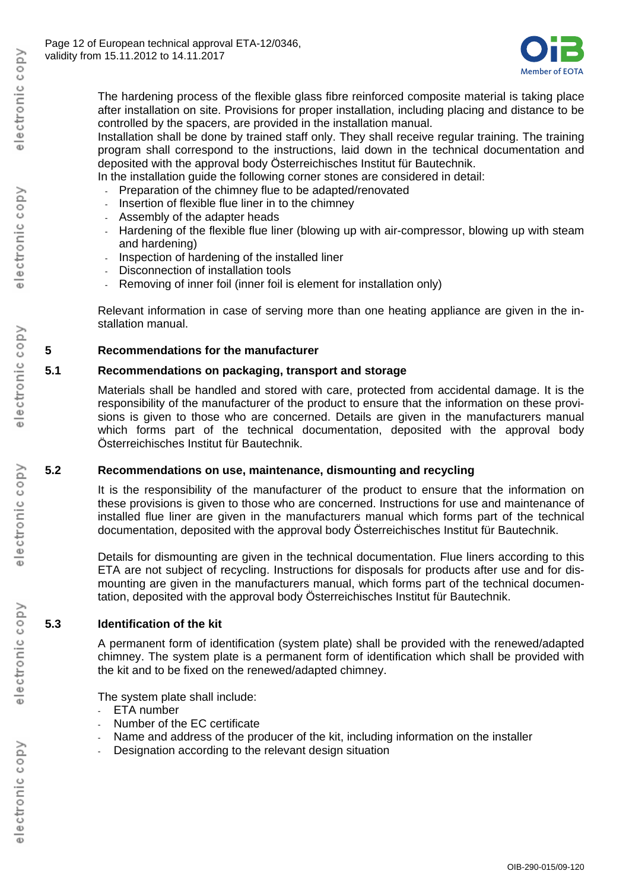

The hardening process of the flexible glass fibre reinforced composite material is taking place after installation on site. Provisions for proper installation, including placing and distance to be controlled by the spacers, are provided in the installation manual.

Installation shall be done by trained staff only. They shall receive regular training. The training program shall correspond to the instructions, laid down in the technical documentation and deposited with the approval body Österreichisches Institut für Bautechnik.

In the installation guide the following corner stones are considered in detail:

- Preparation of the chimney flue to be adapted/renovated
- Insertion of flexible flue liner in to the chimney
- Assembly of the adapter heads
- Hardening of the flexible flue liner (blowing up with air-compressor, blowing up with steam and hardening)
- Inspection of hardening of the installed liner
- Disconnection of installation tools
- Removing of inner foil (inner foil is element for installation only)

Relevant information in case of serving more than one heating appliance are given in the installation manual.

#### **5 Recommendations for the manufacturer**

#### **5.1 Recommendations on packaging, transport and storage**

Materials shall be handled and stored with care, protected from accidental damage. It is the responsibility of the manufacturer of the product to ensure that the information on these provisions is given to those who are concerned. Details are given in the manufacturers manual which forms part of the technical documentation, deposited with the approval body Österreichisches Institut für Bautechnik.

#### **5.2 Recommendations on use, maintenance, dismounting and recycling**

It is the responsibility of the manufacturer of the product to ensure that the information on these provisions is given to those who are concerned. Instructions for use and maintenance of installed flue liner are given in the manufacturers manual which forms part of the technical documentation, deposited with the approval body Österreichisches Institut für Bautechnik.

Details for dismounting are given in the technical documentation. Flue liners according to this ETA are not subject of recycling. Instructions for disposals for products after use and for dismounting are given in the manufacturers manual, which forms part of the technical documentation, deposited with the approval body Österreichisches Institut für Bautechnik.

#### **5.3 Identification of the kit**

A permanent form of identification (system plate) shall be provided with the renewed/adapted chimney. The system plate is a permanent form of identification which shall be provided with the kit and to be fixed on the renewed/adapted chimney.

The system plate shall include:

- ETA number
- Number of the EC certificate
- Name and address of the producer of the kit, including information on the installer
- Designation according to the relevant design situation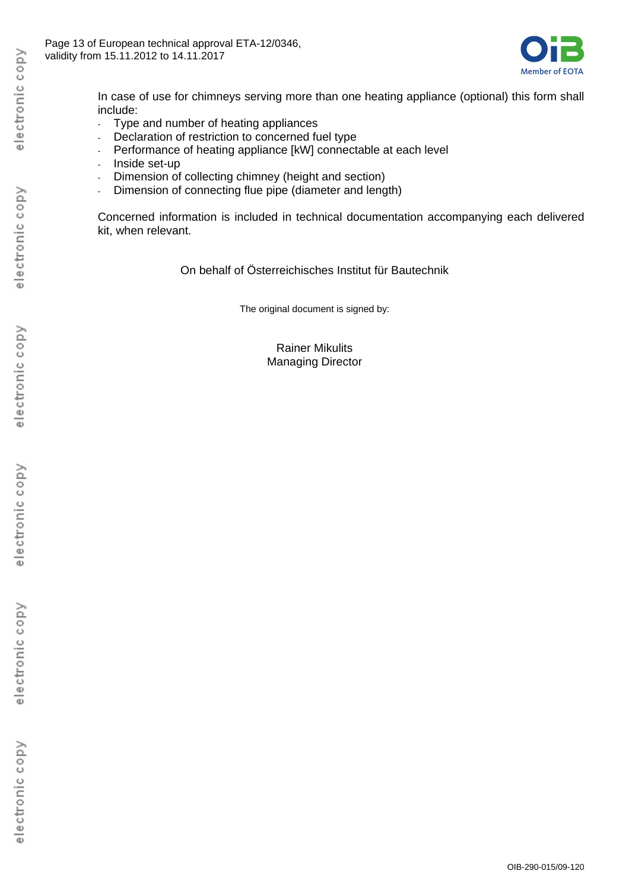

In case of use for chimneys serving more than one heating appliance (optional) this form shall include:

- Type and number of heating appliances
- Declaration of restriction to concerned fuel type
- Performance of heating appliance [kW] connectable at each level
- Inside set-up
- Dimension of collecting chimney (height and section)
- Dimension of connecting flue pipe (diameter and length)

Concerned information is included in technical documentation accompanying each delivered kit, when relevant.

On behalf of Österreichisches Institut für Bautechnik

The original document is signed by:

Rainer Mikulits Managing Director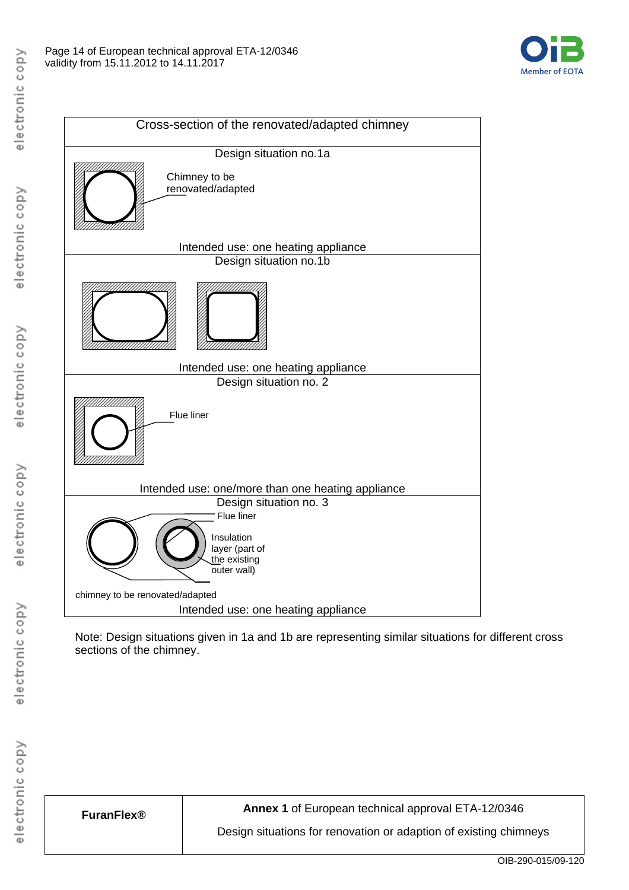



Note: Design situations given in 1a and 1b are representing similar situations for different cross sections of the chimney.

**FuranFlex® Annex 1** of European technical approval ETA-12/0346

Design situations for renovation or adaption of existing chimneys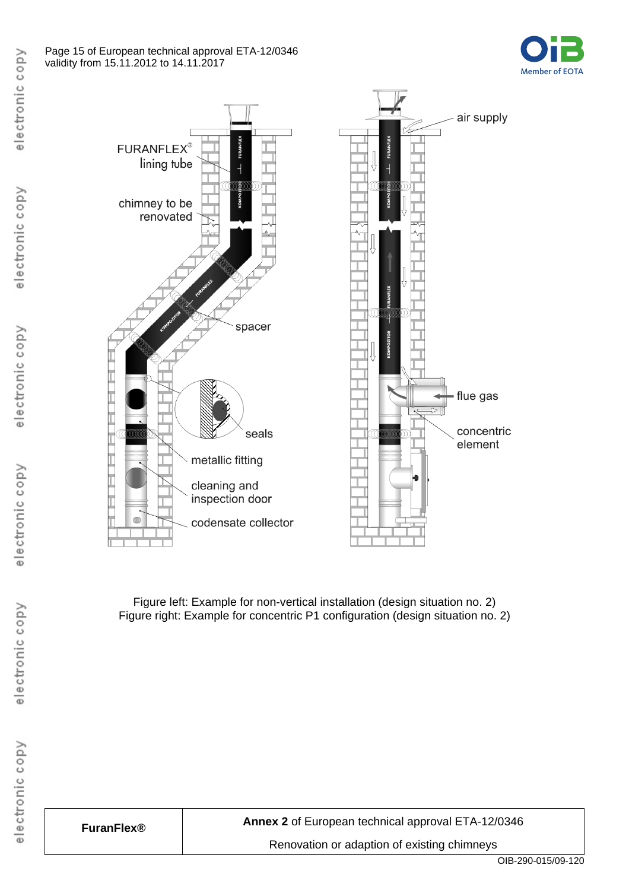#### Page 15 of European technical approval ETA-12/0346 validity from 15.11.2012 to 14.11.2017





Figure left: Example for non-vertical installation (design situation no. 2) Figure right: Example for concentric P1 configuration (design situation no. 2)

electronic copy

electronic copy

electronic copy

electronic copy

| <b>FuranFlex®</b> |
|-------------------|
|-------------------|

**FuranFlex® Annex 2** of European technical approval ETA-12/0346

Renovation or adaption of existing chimneys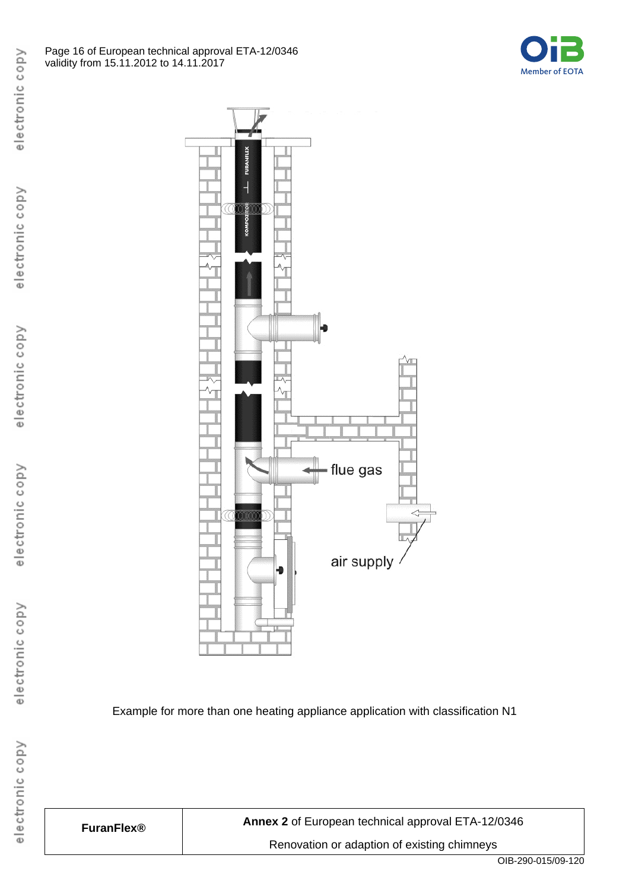



Example for more than one heating appliance application with classification N1

| <b>FuranFlex®</b> | Annex 2 of |
|-------------------|------------|
|                   | Renov      |

European technical approval ETA-12/0346 ation or adaption of existing chimneys